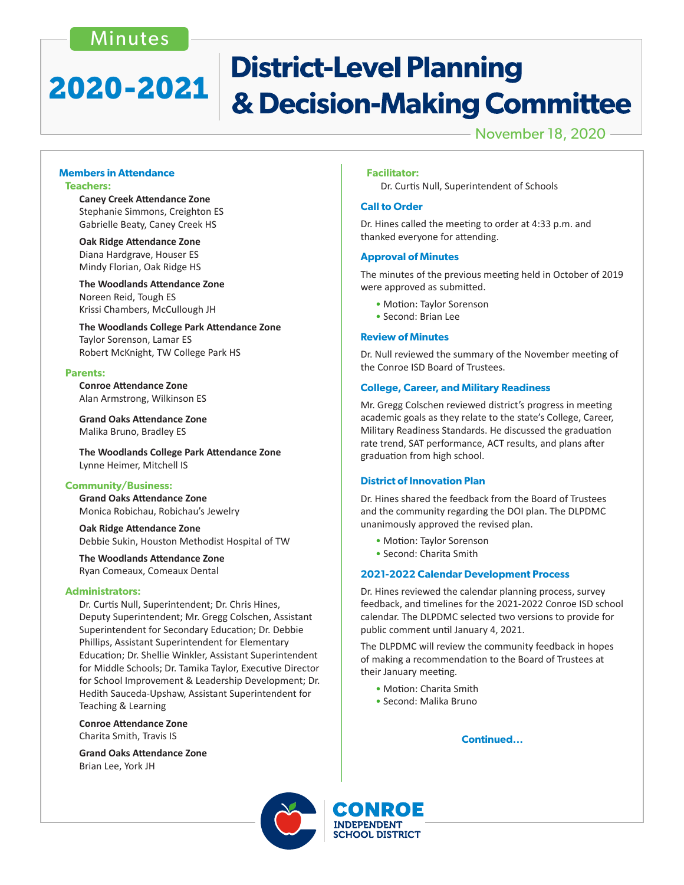# Minutes

# **District-Level Planning** 2020-2021 & Decision-Making Committee

November 18, 2020

#### **Members in Attendance Teachers:**

 **Caney Creek Attendance Zone** Stephanie Simmons, Creighton ES Gabrielle Beaty, Caney Creek HS

**Oak Ridge Attendance Zone** Diana Hardgrave, Houser ES Mindy Florian, Oak Ridge HS

 **The Woodlands Attendance Zone** Noreen Reid, Tough ES Krissi Chambers, McCullough JH

 **The Woodlands College Park Attendance Zone** Taylor Sorenson, Lamar ES Robert McKnight, TW College Park HS

#### **Parents:**

 **Conroe Attendance Zone** Alan Armstrong, Wilkinson ES

**Grand Oaks Attendance Zone** Malika Bruno, Bradley ES

 **The Woodlands College Park Attendance Zone** Lynne Heimer, Mitchell IS

### **Community/Business:**

 **Grand Oaks Attendance Zone** Monica Robichau, Robichau's Jewelry

**Oak Ridge Attendance Zone** Debbie Sukin, Houston Methodist Hospital of TW

**The Woodlands Attendance Zone** Ryan Comeaux, Comeaux Dental

#### **Administrators:**

 Dr. Curtis Null, Superintendent; Dr. Chris Hines, Deputy Superintendent; Mr. Gregg Colschen, Assistant Superintendent for Secondary Education; Dr. Debbie Phillips, Assistant Superintendent for Elementary Education; Dr. Shellie Winkler, Assistant Superintendent for Middle Schools; Dr. Tamika Taylor, Executive Director for School Improvement & Leadership Development; Dr. Hedith Sauceda-Upshaw, Assistant Superintendent for Teaching & Learning

 **Conroe Attendance Zone**  Charita Smith, Travis IS

 **Grand Oaks Attendance Zone** Brian Lee, York JH

#### **Facilitator:**

 Dr. Curtis Null, Superintendent of Schools

#### **Call to Order**

Dr. Hines called the meeting to order at 4:33 p.m. and thanked everyone for attending.

#### **Approval of Minutes**

The minutes of the previous meeting held in October of 2019 were approved as submitted.

- Motion: Taylor Sorenson
- Second: Brian Lee

#### **Review of Minutes**

Dr. Null reviewed the summary of the November meeting of the Conroe ISD Board of Trustees.

#### **College, Career, and Military Readiness**

Mr. Gregg Colschen reviewed district's progress in meeting academic goals as they relate to the state's College, Career, Military Readiness Standards. He discussed the graduation rate trend, SAT performance, ACT results, and plans after graduation from high school.

#### **District of Innovation Plan**

Dr. Hines shared the feedback from the Board of Trustees and the community regarding the DOI plan. The DLPDMC unanimously approved the revised plan.

- Motion: Taylor Sorenson
- Second: Charita Smith

#### **2021-2022 Calendar Development Process**

Dr. Hines reviewed the calendar planning process, survey feedback, and timelines for the 2021-2022 Conroe ISD school calendar. The DLPDMC selected two versions to provide for public comment until January 4, 2021.

The DLPDMC will review the community feedback in hopes of making a recommendation to the Board of Trustees at their January meeting.

- Motion: Charita Smith
- Second: Malika Bruno

**Continued...**